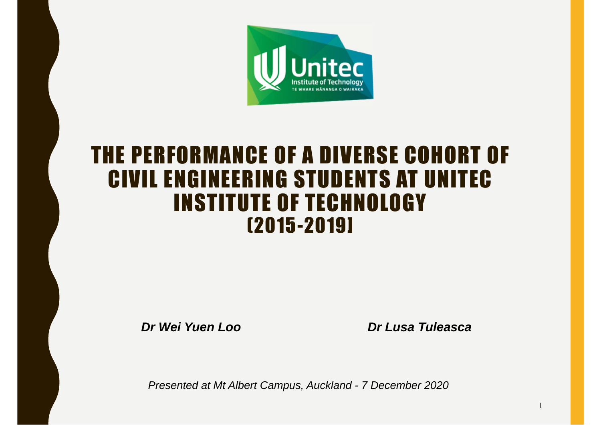

#### THE PERFORMANCE OF A DIVERSE COHORT OF CIVIL ENGINEERING STUDENTS AT UNITECINSTITUTE OF TECHNOLOGY (2015-2019]

*Dr Wei Yuen Loo Dr Lusa Tuleasca*

|

*Presented at Mt Albert Campus, Auckland - 7 December 2020*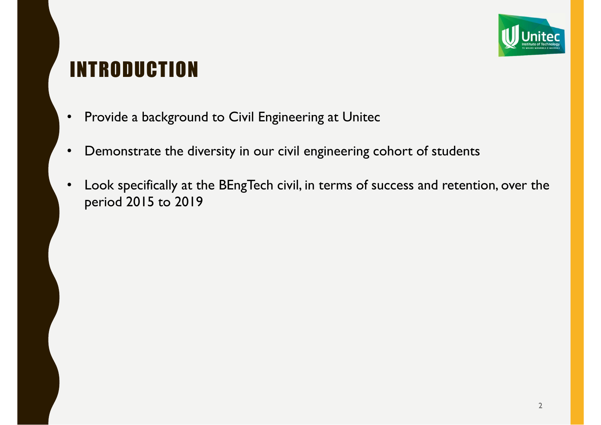

### INTRODUCTION

- •Provide a background to Civil Engineering at Unitec
- •Demonstrate the diversity in our civil engineering cohort of students
- • Look specifically at the BEngTech civil, in terms of success and retention, over the period 2015 to 2019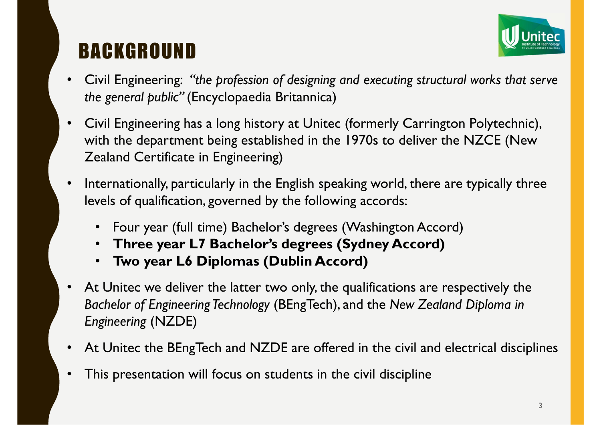### BACKGROUND



- $\bullet$  Civil Engineering: *"the profession of designing and executing structural works that serve the general public"* (Encyclopaedia Britannica)
- • Civil Engineering has a long history at Unitec (formerly Carrington Polytechnic), with the department being established in the 1970s to deliver the NZCE (New Zealand Certificate in Engineering)
- • Internationally, particularly in the English speaking world, there are typically three levels of qualification, governed by the following accords:
	- Four year (full time) Bachelor's degrees (Washington Accord)
	- **Three year L7 Bachelor's degrees (Sydney Accord)**
	- •**Two year L6 Diplomas (Dublin Accord)**
- •At Unitec we deliver the latter two only, the qualifications are respectively the *Bachelor of Engineering Technology* (BEngTech), and the *New Zealand Diploma in Engineering* (NZDE)
- •At Unitec the BEngTech and NZDE are offered in the civil and electrical disciplines
- •This presentation will focus on students in the civil discipline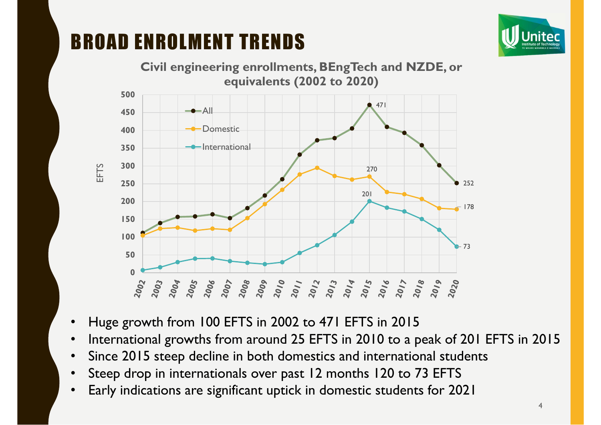BROAD ENROLMENT TRENDS





- •Huge growth from 100 EFTS in 2002 to 471 EFTS in 2015
- •International growths from around 25 EFTS in 2010 to a peak of 201 EFTS in 2015
- •Since 2015 steep decline in both domestics and international students
- •Steep drop in internationals over past 12 months 120 to 73 EFTS
- •Early indications are significant uptick in domestic students for 2021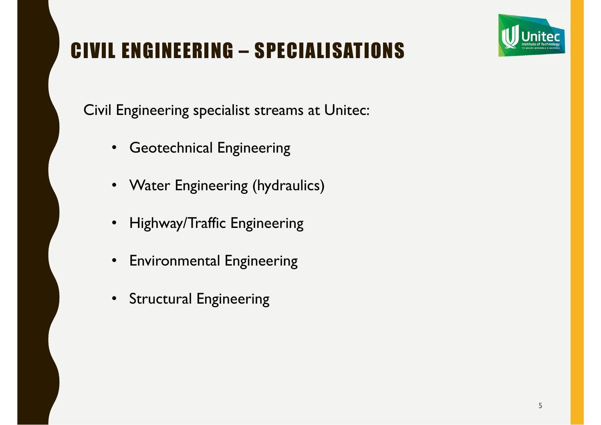### CIVIL ENGINEERING – SPECIALISATIONS

Civil Engineering specialist streams at Unitec:

- $\bullet$ Geotechnical Engineering
- Water Engineering (hydraulics)
- Highway/Traffic Engineering
- $\bullet$ Environmental Engineering
- Structural Engineering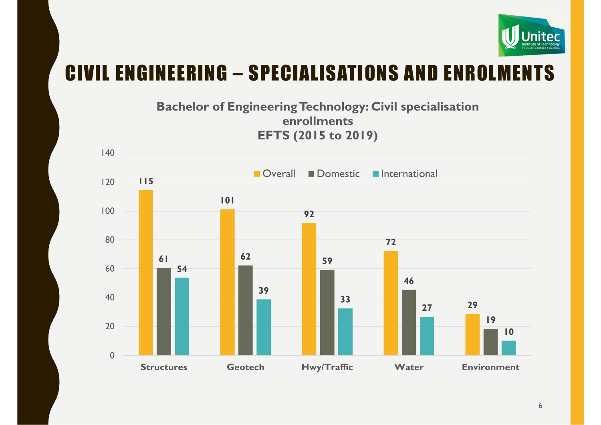

#### CIVIL ENGINEERING – SPECIALISATIONS AND ENROLMENTS

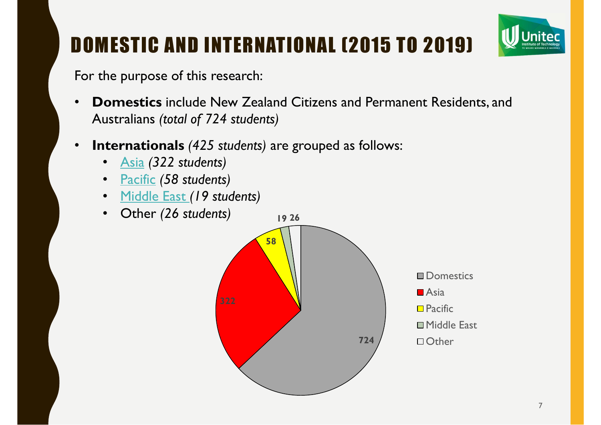

## DOMESTIC AND INTERNATIONAL (2015 TO 2019)

For the purpose of this research:

- • **Domestics** include New Zealand Citizens and Permanent Residents, and Australians *(total of 724 students)*
- • **Internationals** *(425 students)* are grouped as follows:
	- •Asia *(322 students)*
	- Pacific *(58 students)*
	- Middle East *(19 students)*
	- Other *(26 students)*

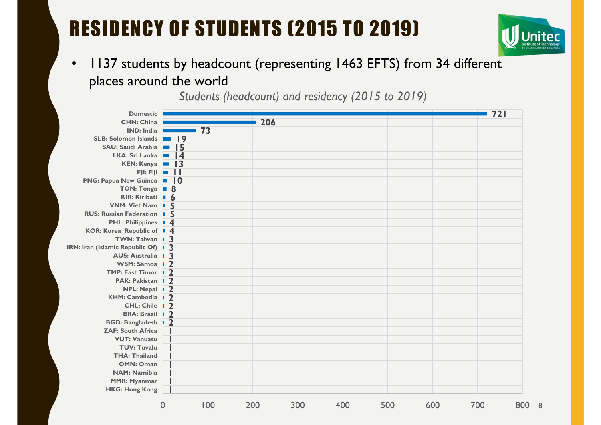## RESIDENCY OF STUDENTS (2015 TO 2019)



8

 $\bullet$  1137 students by headcount (representing 1463 EFTS) from 34 different places around the world

*Students (headcount) and residency (2015 to 2019)*

| <b>Domestic</b>                 |                                    |     |     |     |     |     |     | 721 |     |
|---------------------------------|------------------------------------|-----|-----|-----|-----|-----|-----|-----|-----|
| <b>CHN: China</b>               |                                    |     | 206 |     |     |     |     |     |     |
| <b>IND: India</b>               |                                    | 73  |     |     |     |     |     |     |     |
| <b>SLB: Solomon Islands</b>     | $\blacksquare$ 19                  |     |     |     |     |     |     |     |     |
| <b>SAU: Saudi Arabia</b>        | $\overline{15}$<br><b>Contract</b> |     |     |     |     |     |     |     |     |
| <b>LKA: Sri Lanka</b>           | $=$ $\vert 4$                      |     |     |     |     |     |     |     |     |
| <b>KEN: Kenya</b>               | $\blacksquare$ 13                  |     |     |     |     |     |     |     |     |
| FJI: Fiji                       | $\Box$<br><b>In</b>                |     |     |     |     |     |     |     |     |
| <b>PNG: Papua New Guinea</b>    | $\blacksquare$                     |     |     |     |     |     |     |     |     |
| TON: Tonga <b>B</b>             |                                    |     |     |     |     |     |     |     |     |
| KIR: Kiribati <b>6</b>          |                                    |     |     |     |     |     |     |     |     |
| <b>VNM: Viet Nam</b>            | 5<br>n.                            |     |     |     |     |     |     |     |     |
| <b>RUS: Russian Federation</b>  | 5<br>×.                            |     |     |     |     |     |     |     |     |
| <b>PHL: Philippines</b>         | $\overline{4}$                     |     |     |     |     |     |     |     |     |
| <b>KOR: Korea Republic of</b>   | $\overline{4}$<br>D.               |     |     |     |     |     |     |     |     |
| <b>TWN: Taiwan</b>              | $\overline{\mathbf{3}}$            |     |     |     |     |     |     |     |     |
| IRN: Iran (Islamic Republic Of) |                                    |     |     |     |     |     |     |     |     |
| <b>AUS: Australia</b>           | $\frac{3}{2}$                      |     |     |     |     |     |     |     |     |
| <b>WSM: Samoa</b>               |                                    |     |     |     |     |     |     |     |     |
| <b>TMP: East Timor</b>          | $\overline{\mathbf{2}}$            |     |     |     |     |     |     |     |     |
| <b>PAK: Pakistan</b>            | $\overline{\mathbf{2}}$            |     |     |     |     |     |     |     |     |
| <b>NPL: Nepal</b>               | $\frac{1}{2}$                      |     |     |     |     |     |     |     |     |
| <b>KHM: Cambodia</b>            |                                    |     |     |     |     |     |     |     |     |
| <b>CHL: Chile</b>               | $\overline{2}$                     |     |     |     |     |     |     |     |     |
| <b>BRA: Brazil</b>              | $\overline{\mathbf{2}}$            |     |     |     |     |     |     |     |     |
| <b>BGD: Bangladesh</b>          | $\overline{\mathbf{2}}$            |     |     |     |     |     |     |     |     |
| <b>ZAF: South Africa</b>        |                                    |     |     |     |     |     |     |     |     |
| <b>VUT: Vanuatu</b>             |                                    |     |     |     |     |     |     |     |     |
| <b>TUV: Tuvalu</b>              |                                    |     |     |     |     |     |     |     |     |
| <b>THA: Thailand</b>            |                                    |     |     |     |     |     |     |     |     |
| <b>OMN: Oman</b>                |                                    |     |     |     |     |     |     |     |     |
| <b>NAM: Namibia</b>             |                                    |     |     |     |     |     |     |     |     |
| <b>MMR: Myanmar</b>             |                                    |     |     |     |     |     |     |     |     |
| <b>HKG: Hong Kong</b>           |                                    |     |     |     |     |     |     |     |     |
|                                 | $\overline{0}$                     | 100 | 200 | 300 | 400 | 500 | 600 | 700 | 800 |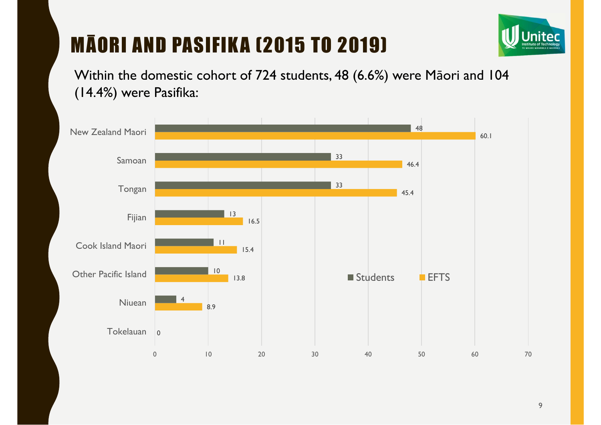## MĀORI AND PASIFIKA (2015 TO 2019)



Within the domestic cohort of 724 students, 48 (6.6%) were Māori and 104 (14.4%) were Pasifika:

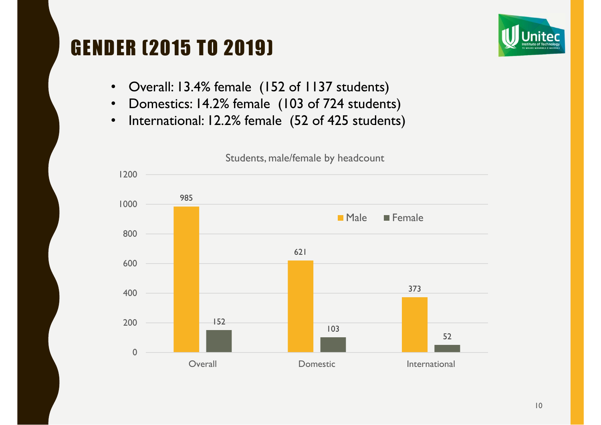#### GENDER (2015 TO 2019)



- $\bullet$ Overall: 13.4% female (152 of 1137 students)
- $\bullet$ Domestics: 14.2% female (103 of 724 students)
- $\bullet$ International: 12.2% female (52 of 425 students)

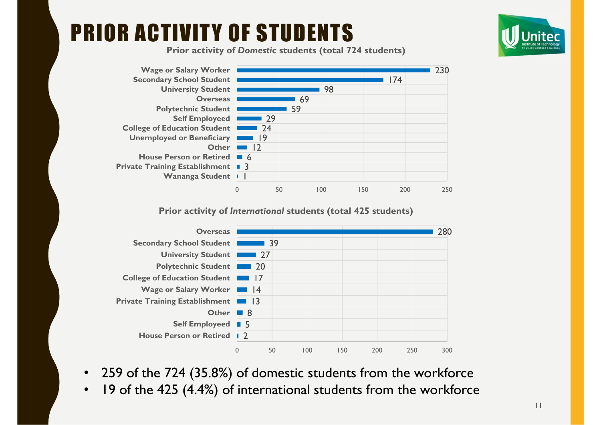# PRIOR ACTIVITY OF STUDENTS



**Prior activity of** *Domestic* **students (total 724 students)**



#### **Prior activity of** *International* **students (total 425 students)**



- $\bullet$ 259 of the 724 (35.8%) of domestic students from the workforce
- •19 of the 425 (4.4%) of international students from the workforce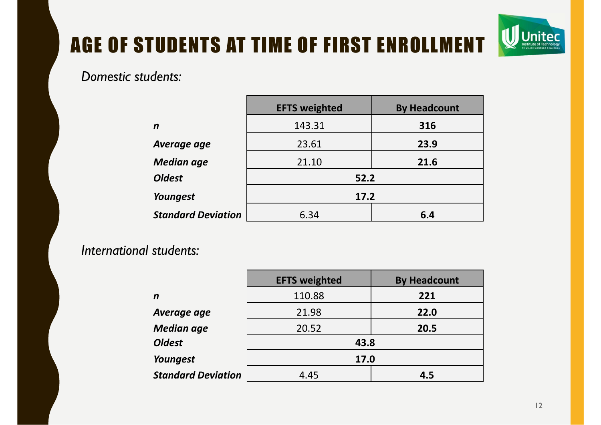#### AGE OF STUDENTS AT TIME OF FIRST ENROLLMENT

#### *Domestic students:*

|                           | <b>EFTS weighted</b> | <b>By Headcount</b> |  |  |  |  |
|---------------------------|----------------------|---------------------|--|--|--|--|
| $\mathbf n$               | 143.31               | 316                 |  |  |  |  |
| Average age               | 23.61                | 23.9                |  |  |  |  |
| <b>Median age</b>         | 21.10                | 21.6                |  |  |  |  |
| <b>Oldest</b>             | 52.2                 |                     |  |  |  |  |
| Youngest                  | 17.2                 |                     |  |  |  |  |
| <b>Standard Deviation</b> | 6.34                 | 6.4                 |  |  |  |  |

#### *International students:*

|                           | <b>EFTS weighted</b> | <b>By Headcount</b> |  |  |  |  |
|---------------------------|----------------------|---------------------|--|--|--|--|
| n                         | 110.88               | 221                 |  |  |  |  |
| Average age               | 21.98                | 22.0                |  |  |  |  |
| <b>Median age</b>         | 20.52                | 20.5                |  |  |  |  |
| <b>Oldest</b>             | 43.8                 |                     |  |  |  |  |
| Youngest                  | 17.0                 |                     |  |  |  |  |
| <b>Standard Deviation</b> | 4.45                 | 4.5                 |  |  |  |  |

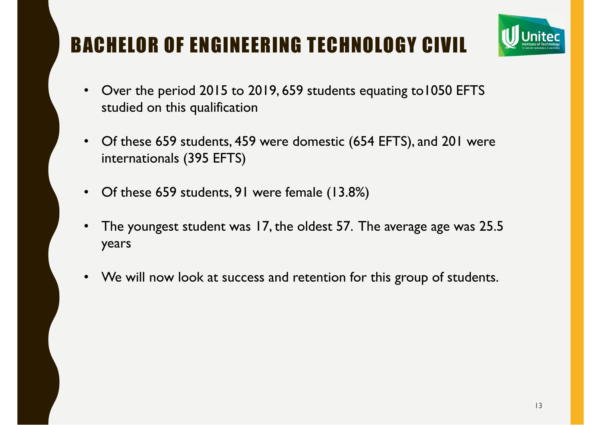## BACHELOR OF ENGINEERING TECHNOLOGY CIVIL



- • Over the period 2015 to 2019, 659 students equating to1050 EFTS studied on this qualification
- $\bullet$  Of these 659 students, 459 were domestic (654 EFTS), and 201 were internationals (395 EFTS)
- $\bullet$ Of these 659 students, 91 were female (13.8%)
- • The youngest student was 17, the oldest 57. The average age was 25.5 years
- $\bullet$ We will now look at success and retention for this group of students.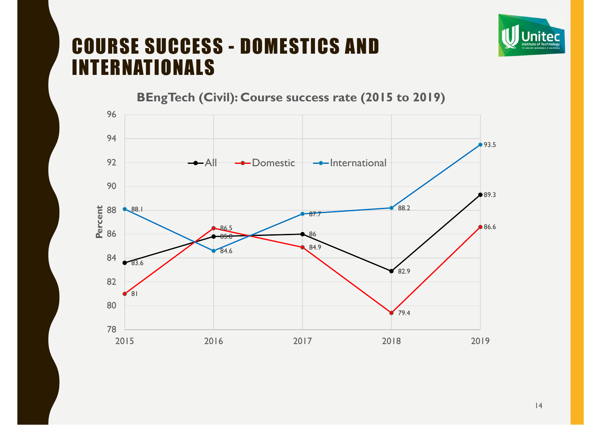

#### COURSE SUCCESS - DOMESTICS AND INTERNATIONALS

83.685.886 82.9 ●89.3  $81$ 86.584.979.4 86.6 88.1 84.6 87.788.2 $•93.5$ 78 808284 86 88 909294962015 2016 2017 2018 20192019 **Percent** All-<sup>o-</sup>Domestic  $\rightarrow$ -International

**BEngTech (Civil): Course success rate (2015 to 2019)**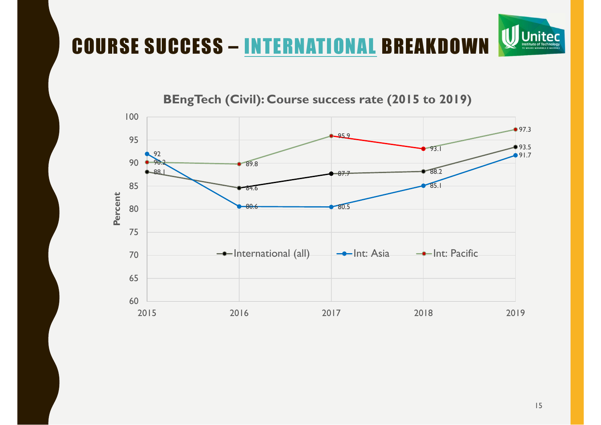## COURSE SUCCESS – INTERNATIONAL BREAKDOWN

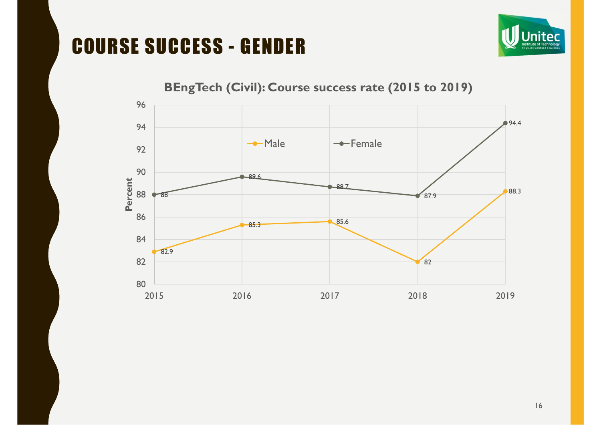### COURSE SUCCESS - GENDER





#### **BEngTech (Civil): Course success rate (2015 to 2019)**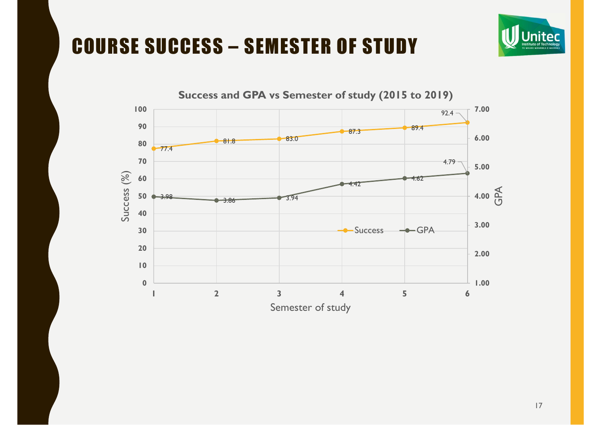### COURSE SUCCESS – SEMESTER OF STUDY



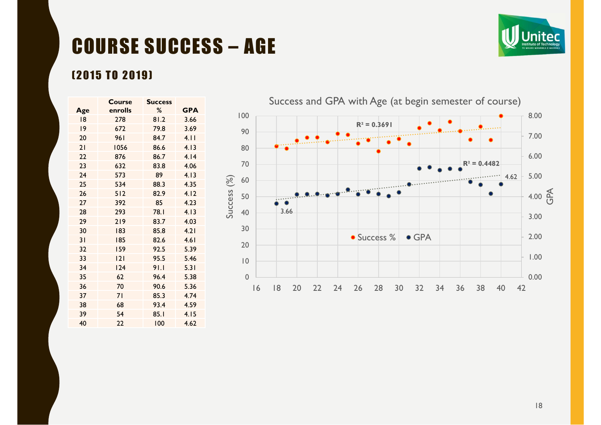## COURSE SUCCESS – AGE



#### (2015 TO 2019)

|     | <b>Course</b><br><b>Success</b> |      |            |
|-----|---------------------------------|------|------------|
| Age | enrolls                         | %    | <b>GPA</b> |
| 18  | 278                             | 81.2 | 3.66       |
| 9   | 672                             | 79.8 | 3.69       |
| 20  | 961                             | 84.7 | 4.11       |
| 21  | 1056                            | 86.6 | 4.13       |
| 22  | 876                             | 86.7 | 4.14       |
| 23  | 632                             | 83.8 | 4.06       |
| 24  | 573                             | 89   | 4.13       |
| 25  | 534                             | 88.3 | 4.35       |
| 26  | 512                             | 82.9 | 4.12       |
| 27  | 392                             | 85   | 4.23       |
| 28  | 293                             | 78.I | 4.13       |
| 29  | 219                             | 83.7 | 4.03       |
| 30  | 183                             | 85.8 | 4.21       |
| 31  | 185                             | 82.6 | 4.61       |
| 32  | 159                             | 92.5 | 5.39       |
| 33  | 2                               | 95.5 | 5.46       |
| 34  | 124                             | 91.1 | 5.31       |
| 35  | 62                              | 96.4 | 5.38       |
| 36  | 70                              | 90.6 | 5.36       |
| 37  | 71                              | 85.3 | 4.74       |
| 38  | 68                              | 93.4 | 4.59       |
| 39  | 54                              | 85.1 | 4.15       |
| 40  | 22                              | 100  | 4.62       |

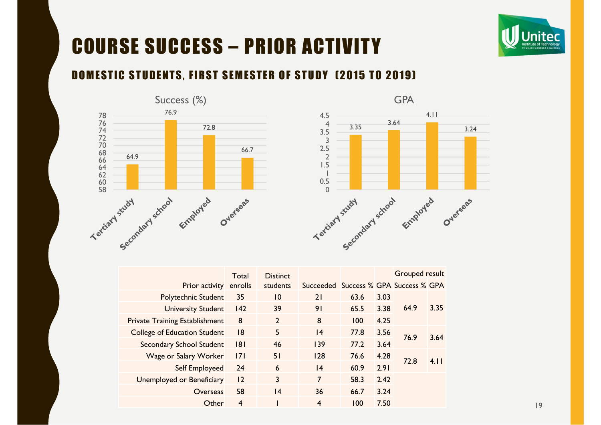

## COURSE SUCCESS – PRIOR ACTIVITY

#### DOMESTIC STUDENTS, FIRST SEMESTER OF STUDY (2015 TO 2019)





|                                       | Total   | <b>Distinct</b> |                                       |      |              | <b>Grouped result</b> |      |
|---------------------------------------|---------|-----------------|---------------------------------------|------|--------------|-----------------------|------|
| <b>Prior activity</b>                 | enrolls | students        | Succeeded Success % GPA Success % GPA |      |              |                       |      |
| <b>Polytechnic Student</b>            | 35      | 10              | 21                                    | 63.6 | 3.03         |                       |      |
| <b>University Student</b>             | 142     | 39              | 91                                    | 65.5 | 3.38         | 64.9                  | 3.35 |
| <b>Private Training Establishment</b> | 8       | $\overline{2}$  | 8                                     | 100  | 4.25         |                       |      |
| <b>College of Education Student</b>   | 8       | 5               | 4                                     | 77.8 | 3.56         |                       | 3.64 |
| <b>Secondary School Student</b>       | 8       | 46              | 139                                   | 77.2 | 76.9<br>3.64 |                       |      |
| Wage or Salary Worker                 | 7       | 51              | 128                                   | 76.6 | 4.28         |                       | 4.11 |
| Self Employeed                        | 24      | 6               | 4                                     | 60.9 | 2.91         | 72.8                  |      |
| <b>Unemployed or Beneficiary</b>      | 12      | 3               | 7                                     | 58.3 | 2.42         |                       |      |
| Overseas                              | 58      | 4               | 36                                    | 66.7 | 3.24         |                       |      |
| Other                                 | 4       |                 | $\overline{\mathbf{4}}$               | 100  | 7.50         |                       |      |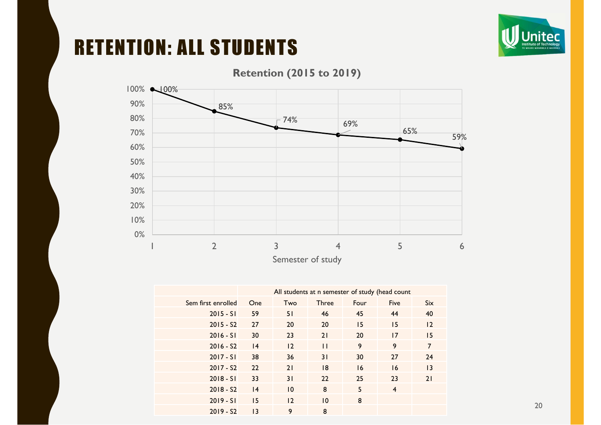

#### RETENTION: ALL STUDENTS



#### **Retention (2015 to 2019)**

Semester of study

|                    | All students at n semester of study (head count |     |              |      |                |                 |
|--------------------|-------------------------------------------------|-----|--------------|------|----------------|-----------------|
| Sem first enrolled | One                                             | Two | <b>Three</b> | Four | <b>Five</b>    | <b>Six</b>      |
| $2015 - SI$        | 59                                              | 51  | 46           | 45   | 44             | 40              |
| $2015 - S2$        | 27                                              | 20  | 20           | 15   | 15             | 12              |
| $2016 - SI$        | 30                                              | 23  | 21           | 20   | 17             | 15              |
| $2016 - S2$        | 4                                               | 12  | $\mathbf{H}$ | 9    | 9              | $\overline{7}$  |
| $2017 - SI$        | 38                                              | 36  | 31           | 30   | 27             | 24              |
| $2017 - S2$        | 22                                              | 21  | 8            | 16   | 16             | $\overline{13}$ |
| $2018 - SI$        | 33                                              | 31  | 22           | 25   | 23             | 21              |
| $2018 - S2$        | 4                                               | 10  | 8            | 5    | $\overline{4}$ |                 |
| $2019 - SI$        | 15                                              | 12  | 10           | 8    |                |                 |
| $2019 - S2$        | $\overline{13}$                                 | 9   | 8            |      |                |                 |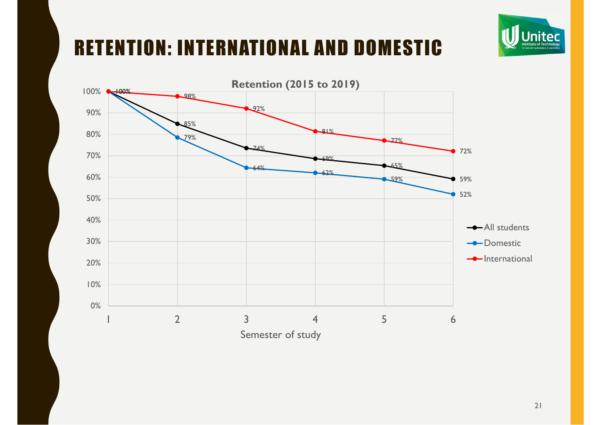### RETENTION: INTERNATIONAL AND DOMESTIC



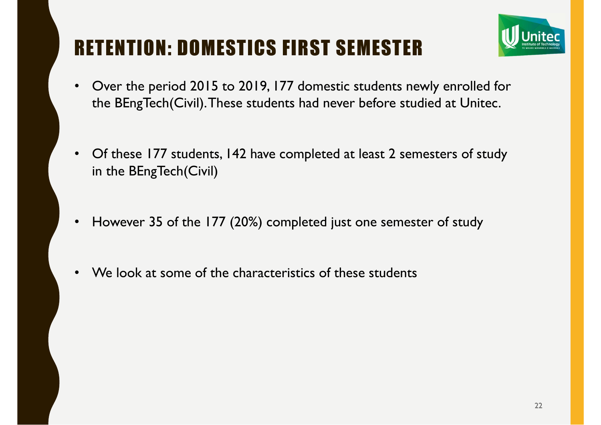### RETENTION: DOMESTICS FIRST SEMESTER



- $\bullet$  Over the period 2015 to 2019, 177 domestic students newly enrolled for the BEngTech(Civil). These students had never before studied at Unitec.
- Of these 177 students, 142 have completed at least 2 semesters of study in the BEngTech(Civil)
- •However 35 of the 177 (20%) completed just one semester of study
- •We look at some of the characteristics of these students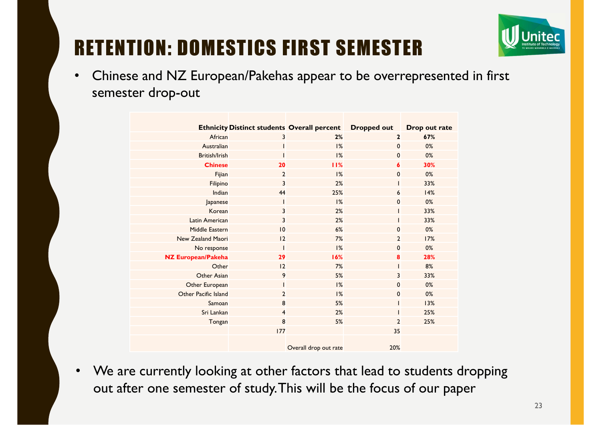

### RETENTION: DOMESTICS FIRST SEMESTER

 $\bullet$  Chinese and NZ European/Pakehas appear to be overrepresented in first semester drop-out

|                           |                | <b>Ethnicity Distinct students Overall percent</b> | <b>Dropped out</b> | Drop out rate |
|---------------------------|----------------|----------------------------------------------------|--------------------|---------------|
| African                   | 3              | 2%                                                 | $\overline{2}$     | 67%           |
| Australian                |                | 1%                                                 | $\mathbf 0$        | 0%            |
| British/Irish             |                | 1%                                                 | $\mathbf 0$        | 0%            |
| <b>Chinese</b>            | 20             | 11%                                                | 6                  | 30%           |
| Fijian                    | $\overline{2}$ | 1%                                                 | $\mathbf 0$        | $0\%$         |
| Filipino                  | 3              | 2%                                                 |                    | 33%           |
| Indian                    | 44             | 25%                                                | 6                  | 14%           |
| Japanese                  |                | 1%                                                 | $\mathbf 0$        | 0%            |
| Korean                    | 3              | 2%                                                 |                    | 33%           |
| <b>Latin American</b>     | $\overline{3}$ | 2%                                                 |                    | 33%           |
| <b>Middle Eastern</b>     | 10             | 6%                                                 | $\mathbf 0$        | $0\%$         |
| New Zealand Maori         | 12             | 7%                                                 | $\overline{2}$     | 17%           |
| No response               |                | 1%                                                 | $\mathbf 0$        | $0\%$         |
| <b>NZ European/Pakeha</b> | 29             | 16%                                                | 8                  | 28%           |
| Other                     | 12             | 7%                                                 |                    | 8%            |
| Other Asian               | 9              | 5%                                                 | 3                  | 33%           |
| Other European            |                | 1%                                                 | $\mathbf 0$        | $0\%$         |
| Other Pacific Island      | $\overline{2}$ | 1%                                                 | $\mathbf 0$        | $0\%$         |
| Samoan                    | 8              | 5%                                                 |                    | 13%           |
| Sri Lankan                | $\overline{4}$ | 2%                                                 |                    | 25%           |
| Tongan                    | 8              | 5%                                                 | $\overline{2}$     | 25%           |
|                           | 177            |                                                    | 35                 |               |
|                           |                | Overall drop out rate                              | 20%                |               |

• We are currently looking at other factors that lead to students dropping out after one semester of study. This will be the focus of our paper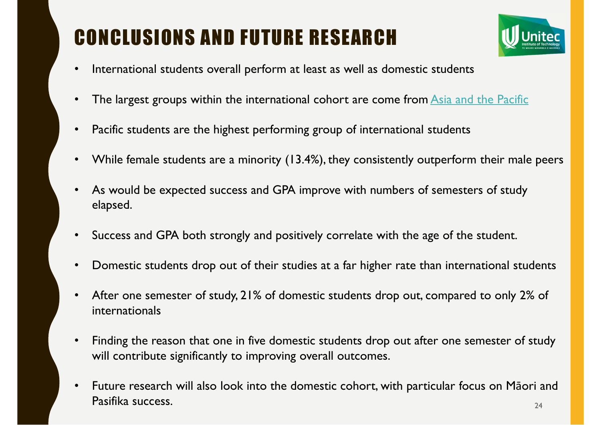## CONCLUSIONS AND FUTURE RESEARCH



- •International students overall perform at least as well as domestic students
- •The largest groups within the international cohort are come from Asia and the Pacific
- $\bullet$ Pacific students are the highest performing group of international students
- $\bullet$ While female students are a minority (13.4%), they consistently outperform their male peers
- • As would be expected success and GPA improve with numbers of semesters of study elapsed.
- $\bullet$ Success and GPA both strongly and positively correlate with the age of the student.
- $\bullet$ Domestic students drop out of their studies at a far higher rate than international students
- $\bullet$  After one semester of study, 21% of domestic students drop out, compared to only 2% of internationals
- $\bullet$  Finding the reason that one in five domestic students drop out after one semester of study will contribute significantly to improving overall outcomes.
- 24 $\bullet$ • Future research will also look into the domestic cohort, with particular focus on Māori and Pasifika success.